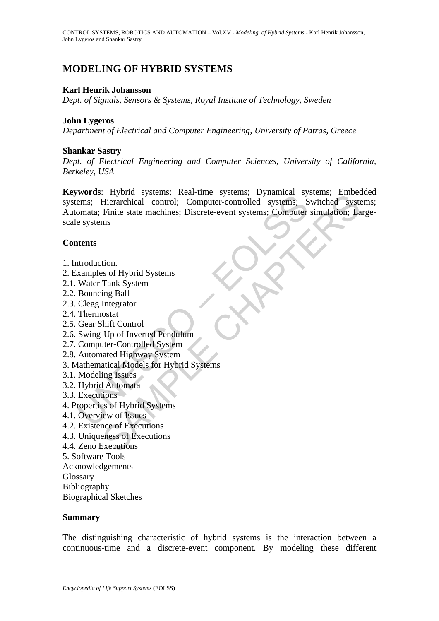# **MODELING OF HYBRID SYSTEMS**

#### **Karl Henrik Johansson**

*Dept. of Signals, Sensors & Systems, Royal Institute of Technology, Sweden* 

#### **John Lygeros**

*Department of Electrical and Computer Engineering, University of Patras, Greece* 

#### **Shankar Sastry**

*Dept. of Electrical Engineering and Computer Sciences, University of California, Berkeley, USA* 

Franchical Control; Computer-controlled systems; Herarchical control; Computer-controlled systems; Spinalinear<br>
ems; Hierarchical control; Computer-controlled systems; Somata; Finite state machines; Discrete-event systems; Traying systems, Near-time systems, Dynaminear Systems, Higheracthical control; Computer-controlled systems; Switched systems<br>Finite state machines; Discrete-event systems; Computer simulation; Lamontanism and Finite state **Keywords**: Hybrid systems; Real-time systems; Dynamical systems; Embedded systems; Hierarchical control; Computer-controlled systems; Switched systems; Automata; Finite state machines; Discrete-event systems; Computer simulation; Largescale systems

#### **Contents**

- 1. Introduction.
- 2. Examples of Hybrid Systems
- 2.1. Water Tank System
- 2.2. Bouncing Ball
- 2.3. Clegg Integrator
- 2.4. Thermostat
- 2.5. Gear Shift Control
- 2.6. Swing-Up of Inverted Pendulum
- 2.7. Computer-Controlled System
- 2.8. Automated Highway System
- 3. Mathematical Models for Hybrid Systems
- 3.1. Modeling Issues
- 3.2. Hybrid Automata
- 3.3. Executions
- 4. Properties of Hybrid Systems
- 4.1. Overview of Issues
- 4.2. Existence of Executions
- 4.3. Uniqueness of Executions
- 4.4. Zeno Executions
- 5. Software Tools
- Acknowledgements
- **Glossary**
- Bibliography
- Biographical Sketches

#### **Summary**

The distinguishing characteristic of hybrid systems is the interaction between a continuous-time and a discrete-event component. By modeling these different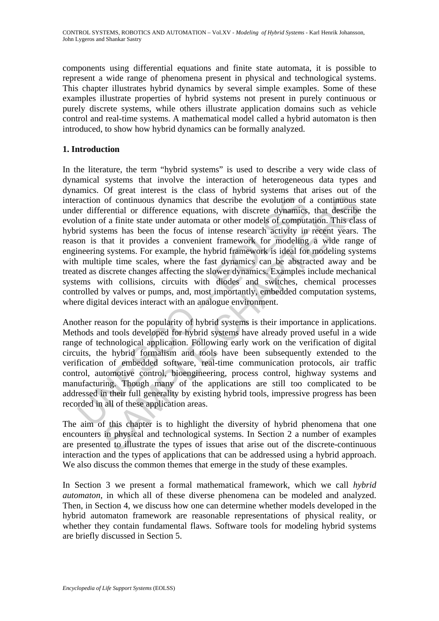components using differential equations and finite state automata, it is possible to represent a wide range of phenomena present in physical and technological systems. This chapter illustrates hybrid dynamics by several simple examples. Some of these examples illustrate properties of hybrid systems not present in purely continuous or purely discrete systems, while others illustrate application domains such as vehicle control and real-time systems. A mathematical model called a hybrid automaton is then introduced, to show how hybrid dynamics can be formally analyzed.

### **1. Introduction**

raction of continuous dynamics that describe the evolution of<br>er differential or difference equations, with discrete dynamics,<br>ution of a finite state under automata or other models of comput<br>id systems has been the focus of continuous dynamics that describe the evolution of a continuous continuous dynamics that describe the evolution of a continuous crential or difference equations, with discrete dynamics, that describe a finite state unde In the literature, the term "hybrid systems" is used to describe a very wide class of dynamical systems that involve the interaction of heterogeneous data types and dynamics. Of great interest is the class of hybrid systems that arises out of the interaction of continuous dynamics that describe the evolution of a continuous state under differential or difference equations, with discrete dynamics, that describe the evolution of a finite state under automata or other models of computation. This class of hybrid systems has been the focus of intense research activity in recent years. The reason is that it provides a convenient framework for modeling a wide range of engineering systems. For example, the hybrid framework is ideal for modeling systems with multiple time scales, where the fast dynamics can be abstracted away and be treated as discrete changes affecting the slower dynamics. Examples include mechanical systems with collisions, circuits with diodes and switches, chemical processes controlled by valves or pumps, and, most importantly, embedded computation systems, where digital devices interact with an analogue environment.

Another reason for the popularity of hybrid systems is their importance in applications. Methods and tools developed for hybrid systems have already proved useful in a wide range of technological application. Following early work on the verification of digital circuits, the hybrid formalism and tools have been subsequently extended to the verification of embedded software, real-time communication protocols, air traffic control, automotive control, bioengineering, process control, highway systems and manufacturing. Though many of the applications are still too complicated to be addressed in their full generality by existing hybrid tools, impressive progress has been recorded in all of these application areas.

The aim of this chapter is to highlight the diversity of hybrid phenomena that one encounters in physical and technological systems. In Section 2 a number of examples are presented to illustrate the types of issues that arise out of the discrete-continuous interaction and the types of applications that can be addressed using a hybrid approach. We also discuss the common themes that emerge in the study of these examples.

In Section 3 we present a formal mathematical framework, which we call *hybrid automaton*, in which all of these diverse phenomena can be modeled and analyzed. Then, in Section 4, we discuss how one can determine whether models developed in the hybrid automaton framework are reasonable representations of physical reality, or whether they contain fundamental flaws. Software tools for modeling hybrid systems are briefly discussed in Section 5.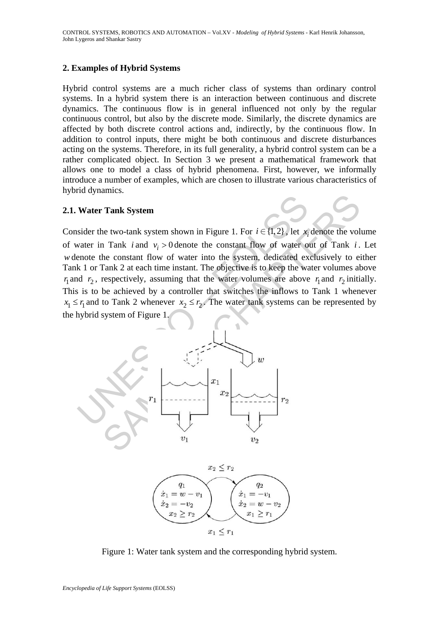#### **2. Examples of Hybrid Systems**

Hybrid control systems are a much richer class of systems than ordinary control systems. In a hybrid system there is an interaction between continuous and discrete dynamics. The continuous flow is in general influenced not only by the regular continuous control, but also by the discrete mode. Similarly, the discrete dynamics are affected by both discrete control actions and, indirectly, by the continuous flow. In addition to control inputs, there might be both continuous and discrete disturbances acting on the systems. Therefore, in its full generality, a hybrid control system can be a rather complicated object. In Section 3 we present a mathematical framework that allows one to model a class of hybrid phenomena. First, however, we informally introduce a number of examples, which are chosen to illustrate various characteristics of hybrid dynamics.

#### **2.1. Water Tank System**

Tank System<br>
the two-tank system shown in Figure 1. For  $i \in \{1, 2\}$ , let  $x_i$  denote the volume of  $x_i$  and  $v_i > 0$  denote the constant flow of water out of Tank *i*.<br>
he constant flow of water into the system, dedicate Consider the two-tank system shown in Figure 1. For  $i \in \{1,2\}$ , let  $x_i$  denote the volume of water in Tank *i* and  $v_i > 0$  denote the constant flow of water out of Tank *i*. Let *w* denote the constant flow of water into the system, dedicated exclusively to either Tank 1 or Tank 2 at each time instant. The objective is to keep the water volumes above  $r_1$  and  $r_2$ , respectively, assuming that the water volumes are above  $r_1$  and  $r_2$  initially. This is to be achieved by a controller that switches the inflows to Tank 1 whenever  $x_1 \le r_1$  and to Tank 2 whenever  $x_2 \le r_2$ . The water tank systems can be represented by the hybrid system of Figure 1.





Figure 1: Water tank system and the corresponding hybrid system.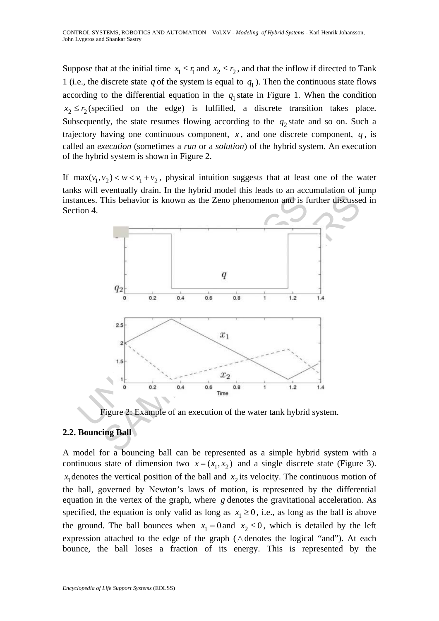Suppose that at the initial time  $x_1 \le r_1$  and  $x_2 \le r_2$ , and that the inflow if directed to Tank 1 (i.e., the discrete state  $q$  of the system is equal to  $q_1$ ). Then the continuous state flows according to the differential equation in the  $q_1$  state in Figure 1. When the condition  $x_2 \le r_2$  (specified on the edge) is fulfilled, a discrete transition takes place. Subsequently, the state resumes flowing according to the  $q_2$  state and so on. Such a trajectory having one continuous component,  $x$ , and one discrete component,  $q$ , is called an *execution* (sometimes a *run* or a *solution*) of the hybrid system. An execution of the hybrid system is shown in Figure 2.

If  $\max(v_1, v_2) < w < v_1 + v_2$ , physical intuition suggests that at least one of the water tanks will eventually drain. In the hybrid model this leads to an accumulation of jump instances. This behavior is known as the Zeno phenomenon and is further discussed in Section 4.



Figure 2: Example of an execution of the water tank hybrid system.

### **2.2. Bouncing Ball**

A model for a bouncing ball can be represented as a simple hybrid system with a continuous state of dimension two  $x = (x_1, x_2)$  and a single discrete state (Figure 3).  $x_1$  denotes the vertical position of the ball and  $x_2$  its velocity. The continuous motion of the ball, governed by Newton's laws of motion, is represented by the differential equation in the vertex of the graph, where *g* denotes the gravitational acceleration. As specified, the equation is only valid as long as  $x_1 \ge 0$ , i.e., as long as the ball is above the ground. The ball bounces when  $x_1 = 0$  and  $x_2 \le 0$ , which is detailed by the left expression attached to the edge of the graph (∧denotes the logical "and"). At each bounce, the ball loses a fraction of its energy. This is represented by the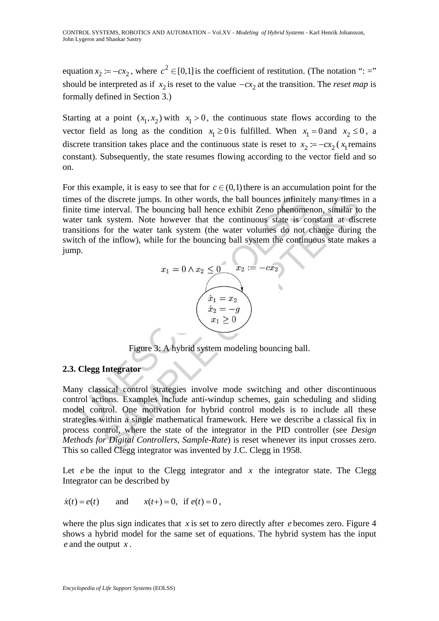equation  $x_2 := -cx_2$ , where  $c^2 \in [0,1]$  is the coefficient of restitution. (The notation ": =" should be interpreted as if  $x_2$  is reset to the value  $-cx_2$  at the transition. The *reset map* is formally defined in Section 3.)

Starting at a point  $(x_1, x_2)$  with  $x_1 > 0$ , the continuous state flows according to the vector field as long as the condition  $x_1 \ge 0$  is fulfilled. When  $x_1 = 0$  and  $x_2 \le 0$ , a discrete transition takes place and the continuous state is reset to  $x_2 := -cx_2$  ( $x_1$  remains constant). Subsequently, the state resumes flowing according to the vector field and so on.

For this example, it is easy to see that for  $c \in (0,1)$  there is an accumulation point for the times of the discrete jumps. In other words, the ball bounces infinitely many times in a finite time interval. The bouncing ball hence exhibit Zeno phenomenon, similar to the water tank system. Note however that the continuous state is constant at discrete transitions for the water tank system (the water volumes do not change during the switch of the inflow), while for the bouncing ball system the continuous state makes a jump.



Figure 3: A hybrid system modeling bouncing ball.

### **2.3. Clegg Integrator**

is of the discrete jumps. In other words, the ball bounces infinitely many times<br>
te time interval. The bouncing ball hence exhibit Zeno phenomenon, similar to<br>
ter tank system. Note however that the continuous state is c Many classical control strategies involve mode switching and other discontinuous control actions. Examples include anti-windup schemes, gain scheduling and sliding model control. One motivation for hybrid control models is to include all these strategies within a single mathematical framework. Here we describe a classical fix in process control, where the state of the integrator in the PID controller (see *Design Methods for Digital Controllers, Sample-Rate*) is reset whenever its input crosses zero. This so called Clegg integrator was invented by J.C. Clegg in 1958.

Let  $e$  be the input to the Clegg integrator and  $x$  the integrator state. The Clegg Integrator can be described by

$$
\dot{x}(t) = e(t)
$$
 and  $x(t+) = 0$ , if  $e(t) = 0$ ,

where the plus sign indicates that *x* is set to zero directly after *e* becomes zero. Figure 4 shows a hybrid model for the same set of equations. The hybrid system has the input *e* and the output *x* .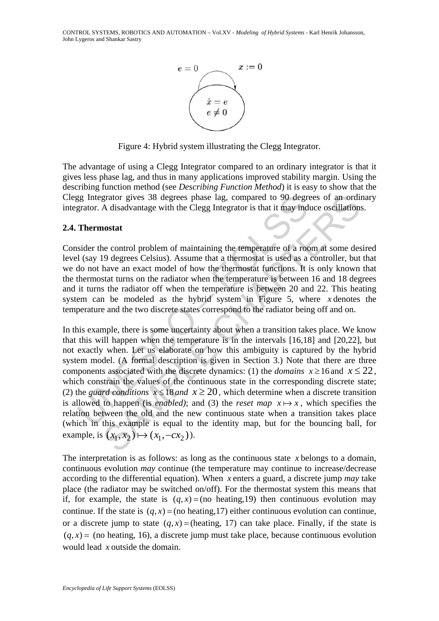

Figure 4: Hybrid system illustrating the Clegg Integrator.

The advantage of using a Clegg Integrator compared to an ordinary integrator is that it gives less phase lag, and thus in many applications improved stability margin. Using the describing function method (see *Describing Function Method*) it is easy to show that the Clegg Integrator gives 38 degrees phase lag, compared to 90 degrees of an ordinary integrator. A disadvantage with the Clegg Integrator is that it may induce oscillations.

#### **2.4. Thermostat**

Consider the control problem of maintaining the temperature of a room at some desired level (say 19 degrees Celsius). Assume that a thermostat is used as a controller, but that we do not have an exact model of how the thermostat functions. It is only known that the thermostat turns on the radiator when the temperature is between 16 and 18 degrees and it turns the radiator off when the temperature is between 20 and 22. This heating system can be modeled as the hybrid system in Figure 5, where *x* denotes the temperature and the two discrete states correspond to the radiator being off and on.

gg Integrator gives 38 degrees phase lag, compared to 90 degre<br>grator. A disadvantage with the Clegg Integrator is that it may ind<br>**Thermostat**<br>sider the control problem of maintaining the temperature of a rod<br>(say 19 deg grator gives 38 degrees phase lag, compared to 90 degrees of an ordi<br>A disadvantage with the Clegg Integrator is that it may induce oscillations<br>**nostat**<br>**nostat**<br>**exercut** problem of maintaining the temperature of a room In this example, there is some uncertainty about when a transition takes place. We know that this will happen when the temperature is in the intervals [16,18] and [20,22], but not exactly when. Let us elaborate on how this ambiguity is captured by the hybrid system model. (A formal description is given in Section 3.) Note that there are three components associated with the discrete dynamics: (1) the *domains*  $x \ge 16$  and  $x \le 22$ , which constrain the values of the continuous state in the corresponding discrete state; (2) the *guard conditions*  $x \le 18$  *and*  $x \ge 20$ , which determine when a discrete transition is allowed to happen (is *enabled*); and (3) the *reset map*  $x \mapsto x$ , which specifies the relation between the old and the new continuous state when a transition takes place (which in this example is equal to the identity map, but for the bouncing ball, for example, is  $(x_1, x_2) \mapsto (x_1, -cx_2)$ ).

The interpretation is as follows: as long as the continuous state *x* belongs to a domain, continuous evolution *may* continue (the temperature may continue to increase/decrease according to the differential equation). When *x* enters a guard, a discrete jump *may* take place (the radiator may be switched on/off). For the thermostat system this means that if, for example, the state is  $(q, x) = (no \, heating, 19)$  then continuous evolution may continue. If the state is  $(q, x) = (no heating, 17)$  either continuous evolution can continue, or a discrete jump to state  $(q, x) =$ (heating, 17) can take place. Finally, if the state is  $(q, x)$  = (no heating, 16), a discrete jump must take place, because continuous evolution would lead *x* outside the domain.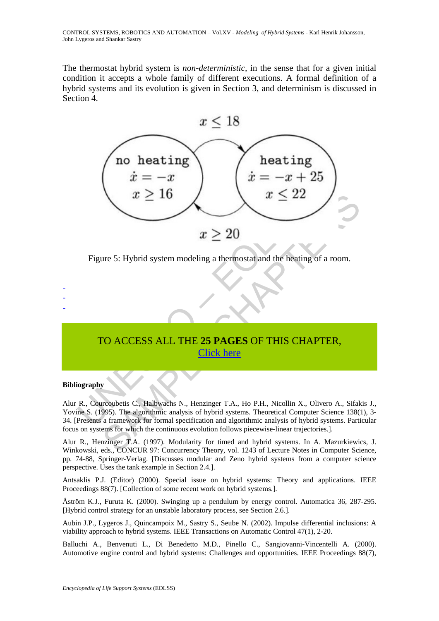The thermostat hybrid system is *non-deterministic,* in the sense that for a given initial condition it accepts a whole family of different executions. A formal definition of a hybrid systems and its evolution is given in Section 3, and determinism is discussed in Section 4.



Figure 5: Hybrid system modeling a thermostat and the heating of a room.

## TO ACCESS ALL THE **25 PAGES** OF THIS CHAPTER, Click here

#### **Bibliography**

- - -

Alur R., Courcoubetis C., Halbwachs N., Henzinger T.A., Ho P.H., Nicollin X., Olivero A., Sifakis J., Yovine S. (1995). The algorithmic analysis of hybrid systems. Theoretical Computer Science 138(1), 3-34. [Presents a framework for formal specification and algorithmic analysis of hybrid systems. Particular focus on systems for which the continuous evolution follows piecewise-linear trajectories.].

Alur R., Henzinger T.A. (1997). Modularity for timed and hybrid systems. In A. Mazurkiewics, J. Winkowski, eds., CONCUR 97: Concurrency Theory, vol. 1243 of Lecture Notes in Computer Science, pp. 74-88, Springer-Verlag. [Discusses modular and Zeno hybrid systems from a computer science perspective. Uses the tank example in Section 2.4.].

Antsaklis P.J. (Editor) (2000). Special issue on hybrid systems: Theory and applications. IEEE Proceedings 88(7). [Collection of some recent work on hybrid systems.].

Åström K.J., Furuta K. (2000). Swinging up a pendulum by energy control. Automatica 36, 287-295. [Hybrid control strategy for an unstable laboratory process, see Section 2.6.].

Aubin J.P., Lygeros J., Quincampoix M., Sastry S., Seube N. (2002). Impulse differential inclusions: A viability approach to hybrid systems. IEEE Transactions on Automatic Control 47(1), 2-20.

Balluchi A., Benvenuti L., Di Benedetto M.D., Pinello C., Sangiovanni-Vincentelli A. (2000). Automotive engine control and hybrid systems: Challenges and opportunities. IEEE Proceedings 88(7),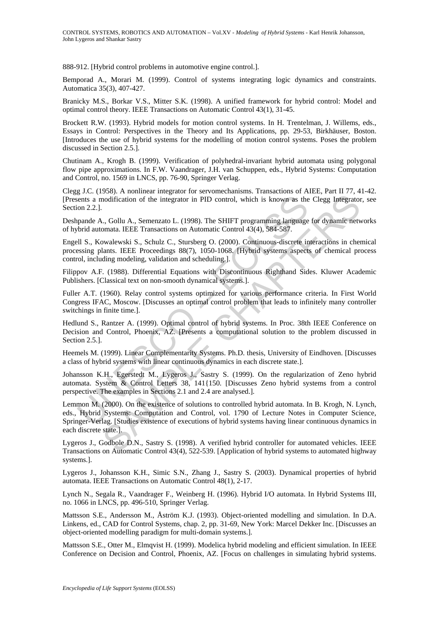888-912. [Hybrid control problems in automotive engine control.].

Bemporad A., Morari M. (1999). Control of systems integrating logic dynamics and constraints. Automatica 35(3), 407-427.

Branicky M.S., Borkar V.S., Mitter S.K. (1998). A unified framework for hybrid control: Model and optimal control theory. IEEE Transactions on Automatic Control 43(1), 31-45.

Brockett R.W. (1993). Hybrid models for motion control systems. In H. Trentelman, J. Willems, eds., Essays in Control: Perspectives in the Theory and Its Applications, pp. 29-53, Birkhäuser, Boston. [Introduces the use of hybrid systems for the modelling of motion control systems. Poses the problem discussed in Section 2.5.].

Chutinam A., Krogh B. (1999). Verification of polyhedral-invariant hybrid automata using polygonal flow pipe approximations. In F.W. Vaandrager, J.H. van Schuppen, eds., Hybrid Systems: Computation and Control, no. 1569 in LNCS, pp. 76-90, Springer Verlag.

Clegg J.C. (1958). A nonlinear integrator for servomechanisms. Transactions of AIEE, Part II 77, 41-42. [Presents a modification of the integrator in PID control, which is known as the Clegg Integrator, see Section 2.2.].

Deshpande A., Gollu A., Semenzato L. (1998). The SHIFT programming language for dynamic networks of hybrid automata. IEEE Transactions on Automatic Control 43(4), 584-587.

Engell S., Kowalewski S., Schulz C., Stursberg O. (2000). Continuous-discrete interactions in chemical processing plants. IEEE Proceedings 88(7), 1050-1068. [Hybrid systems aspects of chemical process control, including modeling, validation and scheduling.].

Filippov A.F. (1988). Differential Equations with Discontinuous Righthand Sides. Kluwer Academic Publishers. [Classical text on non-smooth dynamical systems.].

Fuller A.T. (1960). Relay control systems optimized for various performance criteria. In First World Congress IFAC, Moscow. [Discusses an optimal control problem that leads to infinitely many controller switchings in finite time.].

Hedlund S., Rantzer A. (1999). Optimal control of hybrid systems. In Proc. 38th IEEE Conference on Decision and Control, Phoenix, AZ. [Presents a computational solution to the problem discussed in Section 2.5.].

Heemels M. (1999). Linear Complementarity Systems. Ph.D. thesis, University of Eindhoven. [Discusses a class of hybrid systems with linear continuous dynamics in each discrete state.].

Johansson K.H., Egerstedt M., Lygeros J., Sastry S. (1999). On the regularization of Zeno hybrid automata. System & Control Letters 38, 141{150. [Discusses Zeno hybrid systems from a control perspective. The examples in Sections 2.1 and 2.4 are analysed.].

ions a modification of the integrator in PID control, which is known as the<br>on 2.2.].<br>papade A., Gollu A., Semenzato L. (1998). The SHIFT programming language<br>brid automata. IEEE Transactions on Automatic Control 43(4), 58 Franchinan inespease of the International Franchinan Franchinan Condition of the integrator in PID control, which is known as the Clegg Integrator<br>
Chapter and A. Semenzato L. (1998). The SHIFT programming language for dyn Lemmon M. (2000). On the existence of solutions to controlled hybrid automata. In B. Krogh, N. Lynch, eds., Hybrid Systems: Computation and Control, vol. 1790 of Lecture Notes in Computer Science, Springer-Verlag. [Studies existence of executions of hybrid systems having linear continuous dynamics in each discrete state.].

Lygeros J., Godbole D.N., Sastry S. (1998). A verified hybrid controller for automated vehicles. IEEE Transactions on Automatic Control 43(4), 522-539. [Application of hybrid systems to automated highway systems.].

Lygeros J., Johansson K.H., Simic S.N., Zhang J., Sastry S. (2003). Dynamical properties of hybrid automata. IEEE Transactions on Automatic Control 48(1), 2-17.

Lynch N., Segala R., Vaandrager F., Weinberg H. (1996). Hybrid I/O automata. In Hybrid Systems III, no. 1066 in LNCS, pp. 496-510, Springer Verlag.

Mattsson S.E., Andersson M., Åström K.J. (1993). Object-oriented modelling and simulation. In D.A. Linkens, ed., CAD for Control Systems, chap. 2, pp. 31-69, New York: Marcel Dekker Inc. [Discusses an object-oriented modelling paradigm for multi-domain systems.].

Mattsson S.E., Otter M., Elmqvist H. (1999). Modelica hybrid modeling and efficient simulation. In IEEE Conference on Decision and Control, Phoenix, AZ. [Focus on challenges in simulating hybrid systems.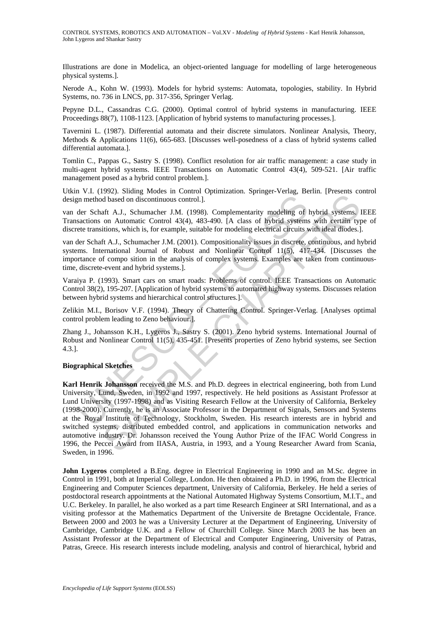Illustrations are done in Modelica, an object-oriented language for modelling of large heterogeneous physical systems.].

Nerode A., Kohn W. (1993). Models for hybrid systems: Automata, topologies, stability. In Hybrid Systems, no. 736 in LNCS, pp. 317-356, Springer Verlag.

Pepyne D.L., Cassandras C.G. (2000). Optimal control of hybrid systems in manufacturing. IEEE Proceedings 88(7), 1108-1123. [Application of hybrid systems to manufacturing processes.].

Tavernini L. (1987). Differential automata and their discrete simulators. Nonlinear Analysis, Theory, Methods & Applications 11(6), 665-683. [Discusses well-posedness of a class of hybrid systems called differential automata.].

Tomlin C., Pappas G., Sastry S. (1998). Conflict resolution for air traffic management: a case study in multi-agent hybrid systems. IEEE Transactions on Automatic Control 43(4), 509-521. [Air traffic management posed as a hybrid control problem.].

Utkin V.I. (1992). Sliding Modes in Control Optimization. Springer-Verlag, Berlin. [Presents control design method based on discontinuous control.].

van der Schaft A.J., Schumacher J.M. (1998). Complementarity modeling of hybrid systems. IEEE Transactions on Automatic Control 43(4), 483-490. [A class of hybrid systems with certain type of discrete transitions, which is, for example, suitable for modeling electrical circuits with ideal diodes.].

van der Schaft A.J., Schumacher J.M. (2001). Compositionality issues in discrete, continuous, and hybrid systems. International Journal of Robust and Nonlinear Control 11(5), 417-434. [Discusses the importance of compo sition in the analysis of complex systems. Examples are taken from continuoustime, discrete-event and hybrid systems.].

Varaiya P. (1993). Smart cars on smart roads: Problems of control. IEEE Transactions on Automatic Control 38(2), 195-207. [Application of hybrid systems to automated highway systems. Discusses relation between hybrid systems and hierarchical control structures.].

Zelikin M.I., Borisov V.F. (1994). Theory of Chattering Control. Springer-Verlag. [Analyses optimal control problem leading to Zeno behaviour.].

Zhang J., Johansson K.H., Lygeros J., Sastry S. (2001). Zeno hybrid systems. International Journal of Robust and Nonlinear Control 11(5), 435-451. [Presents properties of Zeno hybrid systems, see Section 4.3.].

#### **Biographical Sketches**

related on discontinuous control.].<br>
der Schaft A.J., Schumacher J.M. (1998). Complementarity modeling of lactions on Automatic Control 43(4), 483-490. [A class of hybrid systems<br>
tee transitions, which is, for example, su Solution discontinuous control.]<br>
Alta A.J., Schumacher J.M. (1998). Complementarity modeling of hybrid systems, lead at a factoritinous control.43(4). 483-490. [A class of hybrid systems, with entirin types with entiring **Karl Henrik Johansson** received the M.S. and Ph.D. degrees in electrical engineering, both from Lund University, Lund, Sweden, in 1992 and 1997, respectively. He held positions as Assistant Professor at Lund University (1997-1998) and as Visiting Research Fellow at the University of California, Berkeley (1998-2000). Currently, he is an Associate Professor in the Department of Signals, Sensors and Systems at the Royal Institute of Technology, Stockholm, Sweden. His research interests are in hybrid and switched systems, distributed embedded control, and applications in communication networks and automotive industry. Dr. Johansson received the Young Author Prize of the IFAC World Congress in 1996, the Peccei Award from IIASA, Austria, in 1993, and a Young Researcher Award from Scania, Sweden, in 1996.

**John Lygeros** completed a B.Eng. degree in Electrical Engineering in 1990 and an M.Sc. degree in Control in 1991, both at Imperial College, London. He then obtained a Ph.D. in 1996, from the Electrical Engineering and Computer Sciences department, University of California, Berkeley. He held a series of postdoctoral research appointments at the National Automated Highway Systems Consortium, M.I.T., and U.C. Berkeley. In parallel, he also worked as a part time Research Engineer at SRI International, and as a visiting professor at the Mathematics Department of the Universite de Bretagne Occidentale, France. Between 2000 and 2003 he was a University Lecturer at the Department of Engineering, University of Cambridge, Cambridge U.K. and a Fellow of Churchill College. Since March 2003 he has been an Assistant Professor at the Department of Electrical and Computer Engineering, University of Patras, Patras, Greece. His research interests include modeling, analysis and control of hierarchical, hybrid and